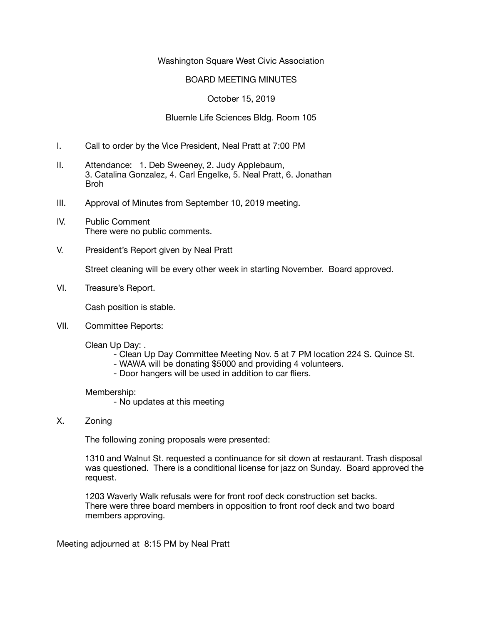#### Washington Square West Civic Association

#### BOARD MEETING MINUTES

## October 15, 2019

## Bluemle Life Sciences Bldg. Room 105

- I. Call to order by the Vice President, Neal Pratt at 7:00 PM
- II. Attendance: 1. Deb Sweeney, 2. Judy Applebaum, 3. Catalina Gonzalez, 4. Carl Engelke, 5. Neal Pratt, 6. Jonathan Broh
- III. Approval of Minutes from September 10, 2019 meeting.
- IV. Public Comment There were no public comments.
- V. President's Report given by Neal Pratt

Street cleaning will be every other week in starting November. Board approved.

VI. Treasure's Report.

Cash position is stable.

VII. Committee Reports:

Clean Up Day: .

- Clean Up Day Committee Meeting Nov. 5 at 7 PM location 224 S. Quince St.
- WAWA will be donating \$5000 and providing 4 volunteers.
- Door hangers will be used in addition to car fliers.

Membership:

- No updates at this meeting
- X. Zoning

The following zoning proposals were presented:

1310 and Walnut St. requested a continuance for sit down at restaurant. Trash disposal was questioned. There is a conditional license for jazz on Sunday. Board approved the request.

1203 Waverly Walk refusals were for front roof deck construction set backs. There were three board members in opposition to front roof deck and two board members approving.

Meeting adjourned at 8:15 PM by Neal Pratt